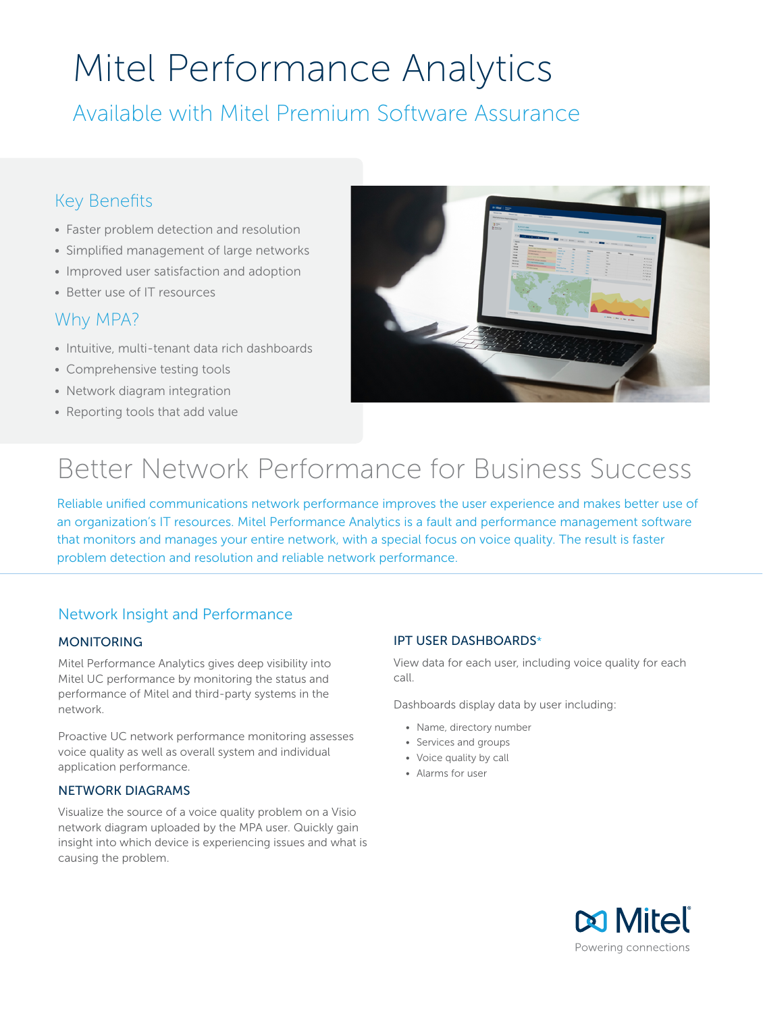# Mitel Performance Analytics

Available with Mitel Premium Software Assurance

## Key Benefits

- Faster problem detection and resolution
- Simplified management of large networks
- Improved user satisfaction and adoption
- Better use of IT resources

## Why MPA?

- Intuitive, multi-tenant data rich dashboards
- Comprehensive testing tools
- Network diagram integration
- Reporting tools that add value



## Better Network Performance for Business Success

Reliable unified communications network performance improves the user experience and makes better use of an organization's IT resources. Mitel Performance Analytics is a fault and performance management software that monitors and manages your entire network, with a special focus on voice quality. The result is faster problem detection and resolution and reliable network performance.

## Network Insight and Performance

#### **MONITORING**

Mitel Performance Analytics gives deep visibility into Mitel UC performance by monitoring the status and performance of Mitel and third-party systems in the network.

Proactive UC network performance monitoring assesses voice quality as well as overall system and individual application performance.

#### NETWORK DIAGRAMS

Visualize the source of a voice quality problem on a Visio network diagram uploaded by the MPA user. Quickly gain insight into which device is experiencing issues and what is causing the problem.

#### IPT USER DASHBOARDS\*

View data for each user, including voice quality for each call.

Dashboards display data by user including:

- Name, directory number
- Services and groups
- Voice quality by call
- Alarms for user

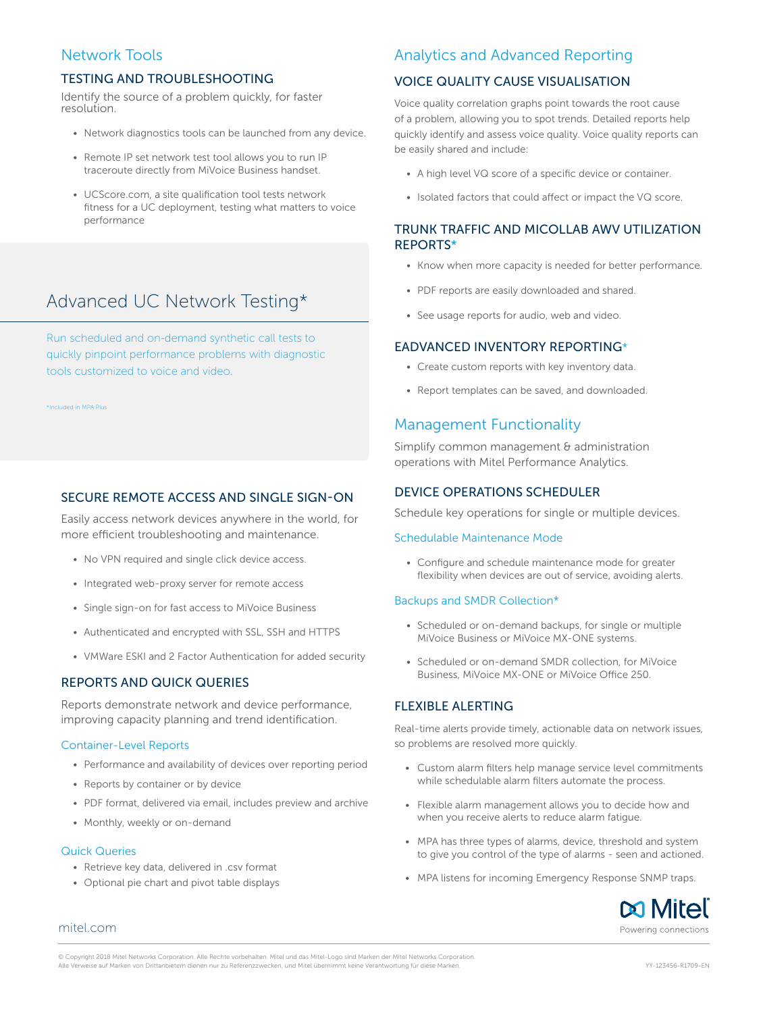## Network Tools

#### TESTING AND TROUBLESHOOTING

Identify the source of a problem quickly, for faster resolution.

- Network diagnostics tools can be launched from any device.
- Remote IP set network test tool allows you to run IP traceroute directly from MiVoice Business handset.
- UCScore.com, a site qualification tool tests network fitness for a UC deployment, testing what matters to voice performance

## Advanced UC Network Testing\*

Run scheduled and on-demand synthetic call tests to quickly pinpoint performance problems with diagnostic tools customized to voice and video.

\*Included in MPA Plus

#### SECURE REMOTE ACCESS AND SINGLE SIGN-ON

Easily access network devices anywhere in the world, for more efficient troubleshooting and maintenance.

- No VPN required and single click device access.
- Integrated web-proxy server for remote access
- Single sign-on for fast access to MiVoice Business
- Authenticated and encrypted with SSL, SSH and HTTPS
- VMWare ESKI and 2 Factor Authentication for added security

#### REPORTS AND QUICK QUERIES

Reports demonstrate network and device performance, improving capacity planning and trend identification.

#### Container-Level Reports

- Performance and availability of devices over reporting period
- Reports by container or by device
- PDF format, delivered via email, includes preview and archive
- Monthly, weekly or on-demand

#### Quick Queries

- Retrieve key data, delivered in .csv format
- Optional pie chart and pivot table displays

### Analytics and Advanced Reporting

#### VOICE QUALITY CAUSE VISUALISATION

Voice quality correlation graphs point towards the root cause of a problem, allowing you to spot trends. Detailed reports help quickly identify and assess voice quality. Voice quality reports can be easily shared and include:

- A high level VQ score of a specific device or container.
- Isolated factors that could affect or impact the VQ score.

#### TRUNK TRAFFIC AND MICOLLAB AWV UTILIZATION REPORTS\*

- Know when more capacity is needed for better performance.
- PDF reports are easily downloaded and shared.
- See usage reports for audio, web and video.

#### EADVANCED INVENTORY REPORTING\*

- Create custom reports with key inventory data.
- Report templates can be saved, and downloaded.

#### Management Functionality

Simplify common management & administration operations with Mitel Performance Analytics.

#### DEVICE OPERATIONS SCHEDULER

Schedule key operations for single or multiple devices.

#### Schedulable Maintenance Mode

• Configure and schedule maintenance mode for greater flexibility when devices are out of service, avoiding alerts.

#### Backups and SMDR Collection\*

- Scheduled or on-demand backups, for single or multiple MiVoice Business or MiVoice MX-ONE systems.
- Scheduled or on-demand SMDR collection, for MiVoice Business, MiVoice MX-ONE or MiVoice Office 250.

#### FLEXIBLE ALERTING

Real-time alerts provide timely, actionable data on network issues, so problems are resolved more quickly.

- Custom alarm filters help manage service level commitments while schedulable alarm filters automate the process.
- Flexible alarm management allows you to decide how and when you receive alerts to reduce alarm fatigue.
- MPA has three types of alarms, device, threshold and system to give you control of the type of alarms - seen and actioned.
- MPA listens for incoming Emergency Response SNMP traps.



[mitel.com](http://www.mitel.com)

© Copyright 2018 Mitel Networks Corporation. Alle Rechte vorbehalten. Mitel und das Mitel-Logo sind Marken der Mitel Networks Corporation. Alle Verweise auf Marken von Drittanbietern dienen nur zu Referenzzwecken, und Mitel übernimmt keine Verantwortung für diese Marken. YY-123456-R1709-EN